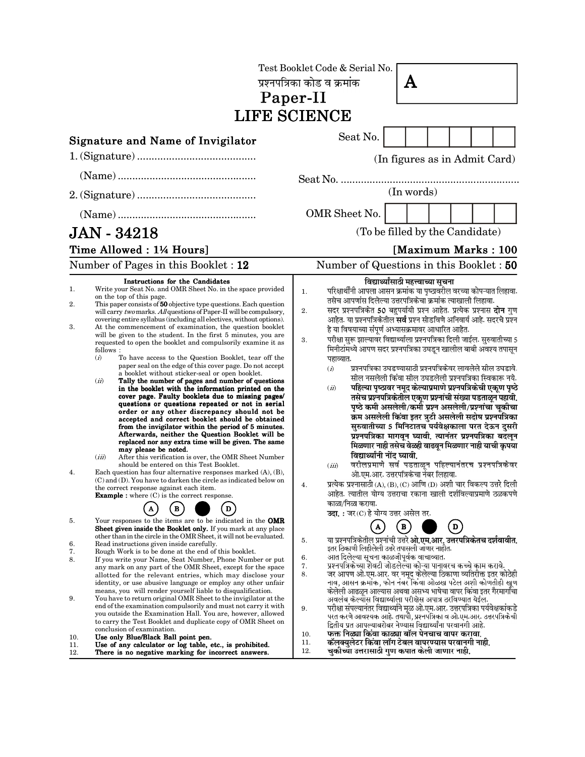| Test Booklet Code & Serial No.<br>प्रश्नपत्रिका कोड व क्रमांक<br>A<br>Paper-II<br><b>LIFE SCIENCE</b> |                                                                                                                                                                                                                                                                                                                                                                                                                                                                                                                                                                                                                                                                                                                                                                                                                                                                                                                                                                                                                                                                                                                                                                                                                                                                                                                                                                                                                                                                                                                                                                                                                                                       |                                                                                                                                                                                                                                                                                                                                                                                                                                                                                                                                                                                                                                                                                                                                                                                                                                                                                                                                                                                                                                                                                                                                                                                                                                                                                                                                                                                                                                                                                                                                     |  |
|-------------------------------------------------------------------------------------------------------|-------------------------------------------------------------------------------------------------------------------------------------------------------------------------------------------------------------------------------------------------------------------------------------------------------------------------------------------------------------------------------------------------------------------------------------------------------------------------------------------------------------------------------------------------------------------------------------------------------------------------------------------------------------------------------------------------------------------------------------------------------------------------------------------------------------------------------------------------------------------------------------------------------------------------------------------------------------------------------------------------------------------------------------------------------------------------------------------------------------------------------------------------------------------------------------------------------------------------------------------------------------------------------------------------------------------------------------------------------------------------------------------------------------------------------------------------------------------------------------------------------------------------------------------------------------------------------------------------------------------------------------------------------|-------------------------------------------------------------------------------------------------------------------------------------------------------------------------------------------------------------------------------------------------------------------------------------------------------------------------------------------------------------------------------------------------------------------------------------------------------------------------------------------------------------------------------------------------------------------------------------------------------------------------------------------------------------------------------------------------------------------------------------------------------------------------------------------------------------------------------------------------------------------------------------------------------------------------------------------------------------------------------------------------------------------------------------------------------------------------------------------------------------------------------------------------------------------------------------------------------------------------------------------------------------------------------------------------------------------------------------------------------------------------------------------------------------------------------------------------------------------------------------------------------------------------------------|--|
|                                                                                                       | Signature and Name of Invigilator                                                                                                                                                                                                                                                                                                                                                                                                                                                                                                                                                                                                                                                                                                                                                                                                                                                                                                                                                                                                                                                                                                                                                                                                                                                                                                                                                                                                                                                                                                                                                                                                                     | Seat No.                                                                                                                                                                                                                                                                                                                                                                                                                                                                                                                                                                                                                                                                                                                                                                                                                                                                                                                                                                                                                                                                                                                                                                                                                                                                                                                                                                                                                                                                                                                            |  |
|                                                                                                       |                                                                                                                                                                                                                                                                                                                                                                                                                                                                                                                                                                                                                                                                                                                                                                                                                                                                                                                                                                                                                                                                                                                                                                                                                                                                                                                                                                                                                                                                                                                                                                                                                                                       | (In figures as in Admit Card)                                                                                                                                                                                                                                                                                                                                                                                                                                                                                                                                                                                                                                                                                                                                                                                                                                                                                                                                                                                                                                                                                                                                                                                                                                                                                                                                                                                                                                                                                                       |  |
|                                                                                                       |                                                                                                                                                                                                                                                                                                                                                                                                                                                                                                                                                                                                                                                                                                                                                                                                                                                                                                                                                                                                                                                                                                                                                                                                                                                                                                                                                                                                                                                                                                                                                                                                                                                       |                                                                                                                                                                                                                                                                                                                                                                                                                                                                                                                                                                                                                                                                                                                                                                                                                                                                                                                                                                                                                                                                                                                                                                                                                                                                                                                                                                                                                                                                                                                                     |  |
|                                                                                                       |                                                                                                                                                                                                                                                                                                                                                                                                                                                                                                                                                                                                                                                                                                                                                                                                                                                                                                                                                                                                                                                                                                                                                                                                                                                                                                                                                                                                                                                                                                                                                                                                                                                       | (In words)                                                                                                                                                                                                                                                                                                                                                                                                                                                                                                                                                                                                                                                                                                                                                                                                                                                                                                                                                                                                                                                                                                                                                                                                                                                                                                                                                                                                                                                                                                                          |  |
|                                                                                                       |                                                                                                                                                                                                                                                                                                                                                                                                                                                                                                                                                                                                                                                                                                                                                                                                                                                                                                                                                                                                                                                                                                                                                                                                                                                                                                                                                                                                                                                                                                                                                                                                                                                       | OMR Sheet No.                                                                                                                                                                                                                                                                                                                                                                                                                                                                                                                                                                                                                                                                                                                                                                                                                                                                                                                                                                                                                                                                                                                                                                                                                                                                                                                                                                                                                                                                                                                       |  |
| <b>JAN - 34218</b>                                                                                    |                                                                                                                                                                                                                                                                                                                                                                                                                                                                                                                                                                                                                                                                                                                                                                                                                                                                                                                                                                                                                                                                                                                                                                                                                                                                                                                                                                                                                                                                                                                                                                                                                                                       | (To be filled by the Candidate)                                                                                                                                                                                                                                                                                                                                                                                                                                                                                                                                                                                                                                                                                                                                                                                                                                                                                                                                                                                                                                                                                                                                                                                                                                                                                                                                                                                                                                                                                                     |  |
|                                                                                                       | Time Allowed: 1¼ Hours]<br>Number of Pages in this Booklet: 12                                                                                                                                                                                                                                                                                                                                                                                                                                                                                                                                                                                                                                                                                                                                                                                                                                                                                                                                                                                                                                                                                                                                                                                                                                                                                                                                                                                                                                                                                                                                                                                        | [Maximum Marks: 100<br>Number of Questions in this Booklet : 50                                                                                                                                                                                                                                                                                                                                                                                                                                                                                                                                                                                                                                                                                                                                                                                                                                                                                                                                                                                                                                                                                                                                                                                                                                                                                                                                                                                                                                                                     |  |
| 1.<br>2.<br>3.<br>4.                                                                                  | Instructions for the Candidates<br>Write your Seat No. and OMR Sheet No. in the space provided<br>on the top of this page.<br>This paper consists of 50 objective type questions. Each question<br>will carry two marks. All questions of Paper-II will be compulsory,<br>covering entire syllabus (including all electives, without options).<br>At the commencement of examination, the question booklet<br>will be given to the student. In the first 5 minutes, you are<br>requested to open the booklet and compulsorily examine it as<br>follows:<br>(i)<br>To have access to the Question Booklet, tear off the<br>paper seal on the edge of this cover page. Do not accept<br>a booklet without sticker-seal or open booklet.<br>(ii)<br>Tally the number of pages and number of questions<br>in the booklet with the information printed on the<br>cover page. Faulty booklets due to missing pages/<br>questions or questions repeated or not in serial<br>order or any other discrepancy should not be<br>accepted and correct booklet should be obtained<br>from the invigilator within the period of 5 minutes.<br>Afterwards, neither the Question Booklet will be<br>replaced nor any extra time will be given. The same<br>may please be noted.<br>(iii)<br>After this verification is over, the OMR Sheet Number<br>should be entered on this Test Booklet.<br>Each question has four alternative responses marked $(A)$ , $(B)$ ,<br>$(C)$ and $(D)$ . You have to darken the circle as indicated below on<br>the correct response against each item.<br><b>Example :</b> where $(C)$ is the correct response.<br>$\mathbf{B}$<br>D | विद्यार्थ्यांसाठी महत्त्वाच्या सूचना<br>परिक्षार्थींनी आपला आसन क्रमांक या पृष्ठावरील वरच्या कोपऱ्यात लिहावा.<br>1.<br>तसेच आपणांस दिलेल्या उत्तरपत्रिकेचा क्रमांक त्याखाली लिहावा.<br>सदर प्रश्नपत्रिकेत 50 बहुपर्यायी प्रश्न आहेत. प्रत्येक प्रश्नास <b>दोन</b> गुण<br>2.<br>आहेत. या प्रश्नपत्रिकेतील <b>सर्व</b> प्रश्न सोडविणे अनिवार्य आहे. सदरचे प्रश्न<br>हे या विषयाच्या संपूर्ण अभ्यासक्रमावर आधारित आहेत.<br>परीक्षा सुरू झाल्यावर विद्यार्थ्याला प्रश्नपत्रिका दिली जाईल. सुरुवातीच्या 5<br>3.<br>मिनीटांमध्ये आपण सदर प्रश्नपत्रिका उघडून खालील बाबी अवश्य तपासून<br>पहाव्यात.<br>प्रश्नपत्रिका उघडण्यासाठी प्रश्नपत्रिकेवर लावलेले सील उघडावे.<br>(i)<br>सील नसलेली किंवा सील उघडलेली प्रश्नपत्रिका स्विकारू नये.<br>पहिल्या पृष्ठावर नमूद केल्याप्रमाणे प्रश्नपत्रिकेची एकूण पृष्ठे<br>(ii)<br>तसेच प्रश्नपत्रिकेतील एकूण प्रश्नांची संख्या पडताळून पहावी.<br>पृष्ठे कमी असलेली/कमी प्रश्न असलेली/प्रश्नांचा चूकीचा<br>क्रम असलेली किंवा इतर त्रुटी असलेली सदोष प्रश्नपत्रिका<br>सुरुवातीच्या 5 मिनिटातच पर्यवेक्षकाला परत देऊन दुसरी<br>प्रश्नपत्रिका मागवून घ्यावी. त्यानंतर प्रश्नपत्रिका बदलून<br>मिळणार नाही तसेच वेळही वाढवून मिळणार नाही याची क्रपया<br>विद्यार्थ्यांनी नोंद घ्यावी.<br>वरीलप्रमाणे सर्व पडताळून पहिल्यानंतरच प्रश्नपत्रिकेवर<br>(iii)<br>ओ.एम.आर. उत्तरपत्रिकेचा नंबर लिहावा.<br>प्रत्येक प्रश्नासाठी (A), (B), (C) आणि (D) अशी चार विकल्प उत्तरे दिली<br>4.<br>आहेत. त्यातील योग्य उत्तराचा रकाना खाली दर्शविल्याप्रमाणे ठळकपणे<br>काळा/निळा करावा.<br>उदा.: जर (C) हे योग्य उत्तर असेल तर. |  |
| 5.<br>6.<br>7.<br>8.<br>9.<br>10.<br>11.<br>12.                                                       | Your responses to the items are to be indicated in the <b>OMR</b><br>Sheet given inside the Booklet only. If you mark at any place<br>other than in the circle in the OMR Sheet, it will not be evaluated.<br>Read instructions given inside carefully.<br>Rough Work is to be done at the end of this booklet.<br>If you write your Name, Seat Number, Phone Number or put<br>any mark on any part of the OMR Sheet, except for the space<br>allotted for the relevant entries, which may disclose your<br>identity, or use abusive language or employ any other unfair<br>means, you will render yourself liable to disqualification.<br>You have to return original OMR Sheet to the invigilator at the<br>end of the examination compulsorily and must not carry it with<br>you outside the Examination Hall. You are, however, allowed<br>to carry the Test Booklet and duplicate copy of OMR Sheet on<br>conclusion of examination.<br>Use only Blue/Black Ball point pen.<br>Use of any calculator or log table, etc., is prohibited.<br>There is no negative marking for incorrect answers.                                                                                                                                                                                                                                                                                                                                                                                                                                                                                                                                                   | $\, {\bf B}$<br>$\mathbf{D}$<br>या प्रश्नपत्रिकेतील प्रश्नांची उत्तरे <b>ओ.एम.आर. उत्तरपत्रिकेतच दर्शवावीत.</b><br>5.<br>इतर ठिकाणी लिहीलेली उत्तरे तपासली जाणार नाहीत.<br>आत दिलेल्या सूचना काळजीपूर्वक वाचाव्यात.<br>6.<br>प्रश्नपत्रिकेच्या शेवटी जोडलेल्या कोऱ्या पानावरच कच्चे काम करावे.<br>7.<br>जर आपण ओ.एम.आर. वर नमूद केलेल्या ठिकाणा व्यतिरीक्त इतर कोठेही<br>8.<br>नाव, आसन क्रमांक, फोन नंबर किंवा ओळख पटेल अशी कोणतीही खूण<br>केलेली आढळून आल्यास अथवा असभ्य भाषेचा वापर किंवा इतर गैरमार्गांचा<br>अवलंब केल्यांस विद्यार्थ्याला परीक्षेस अपात्र ठरविण्यात येईल.<br>परीक्षा संपल्यानंतर विद्यार्थ्याने मूळ ओ.एम.आर. उत्तरपत्रिका पर्यवेक्षकांकडे<br>9.<br>परत करणे आवश्यक आहे. तथापी, प्रश्नपत्रिका व ओ.एम.आर. उत्तरपत्रिकेची<br>द्वितीय प्रत आपल्याबरोबर नेण्यास विद्यार्थ्यांना परवानगी आहे.<br>फक्त निळ्या किंवा काळ्या बॉल पेनचाच वापर करावा.<br>10.<br>कॅलक्युलेटर किंवा लॉग टेबल वापरण्यास परवानगी नाही.<br>11.<br>चुकीच्या उत्तरासाठी गुण कपात केली जाणार नाही.<br>12.                                                                                                                                                                                                                                                                                                                                                                                                                                                                                                                                         |  |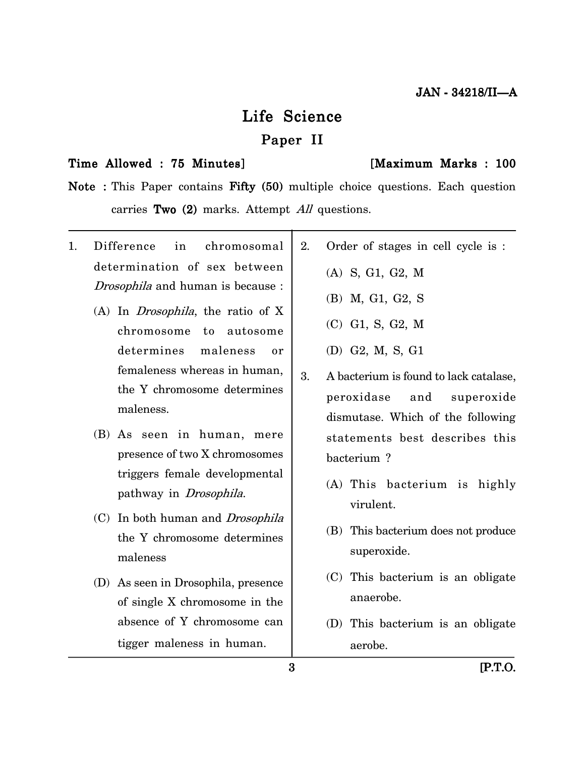# Life Science Paper II

#### Time Allowed : 75 Minutes] [Maximum Marks : 100

Note : This Paper contains Fifty (50) multiple choice questions. Each question carries Two  $(2)$  marks. Attempt All questions.

1. Difference in chromosomal determination of sex between Drosophila and human is because : (A) In Drosophila, the ratio of X chromosome to autosome determines maleness or femaleness whereas in human, the Y chromosome determines maleness. (B) As seen in human, mere presence of two X chromosomes triggers female developmental pathway in Drosophila. (C) In both human and Drosophila the Y chromosome determines maleness (D) As seen in Drosophila, presence of single X chromosome in the absence of Y chromosome can 2. Order of stages in cell cycle is : (A) S, G1, G2, M (B) M, G1, G2, S (C) G1, S, G2, M (D) G2, M, S, G1 3. A bacterium is found to lack catalase, peroxidase and superoxide dismutase. Which of the following statements best describes this bacterium ? (A) This bacterium is highly virulent. (B) This bacterium does not produce superoxide. (C) This bacterium is an obligate anaerobe. (D) This bacterium is an obligate

aerobe.

tigger maleness in human.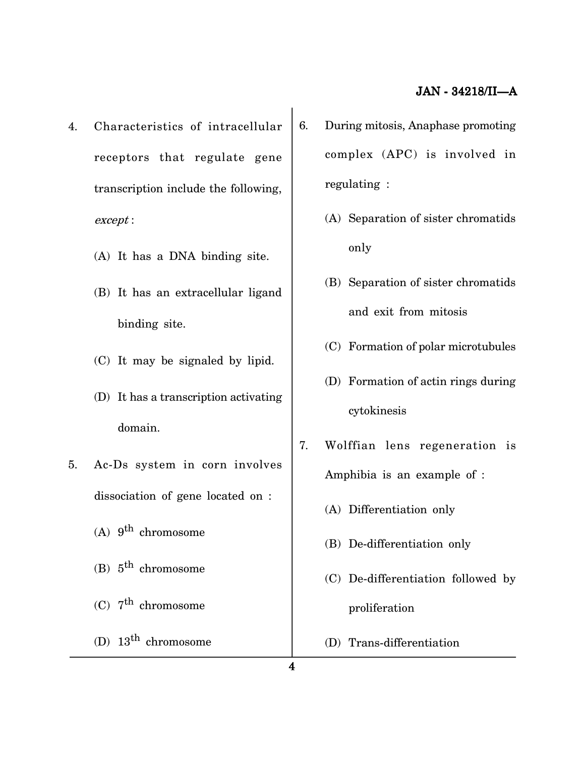- 4. Characteristics of intracellular receptors that regulate gene transcription include the following, except :
	- (A) It has a DNA binding site.
	- (B) It has an extracellular ligand binding site.
	- (C) It may be signaled by lipid.
	- (D) It has a transcription activating domain.
- 5. Ac-Ds system in corn involves dissociation of gene located on :
	- (A)  $9^{th}$  chromosome
	- (B)  $5^{\text{th}}$  chromosome
	- (C)  $7<sup>th</sup>$  chromosome
	- (D)  $13^{\text{th}}$  chromosome
- 6. During mitosis, Anaphase promoting complex (APC) is involved in regulating :
	- (A) Separation of sister chromatids only
	- (B) Separation of sister chromatids and exit from mitosis
	- (C) Formation of polar microtubules
	- (D) Formation of actin rings during cytokinesis
- 7. Wolffian lens regeneration is Amphibia is an example of :
	- (A) Differentiation only
	- (B) De-differentiation only
	- (C) De-differentiation followed by proliferation
	- (D) Trans-differentiation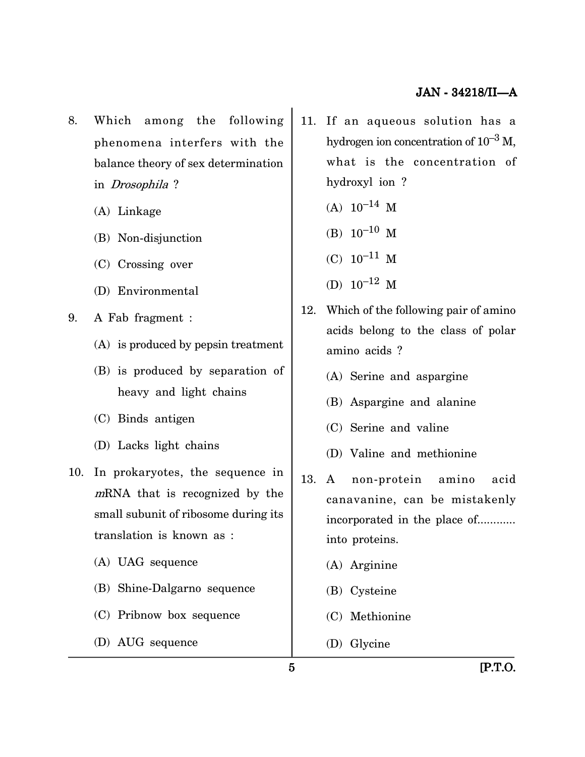- 8. Which among the following phenomena interfers with the balance theory of sex determination in Drosophila ?
	- (A) Linkage
	- (B) Non-disjunction
	- (C) Crossing over
	- (D) Environmental
- 9. A Fab fragment :
	- (A) is produced by pepsin treatment
	- (B) is produced by separation of heavy and light chains
	- (C) Binds antigen
	- (D) Lacks light chains
- 10. In prokaryotes, the sequence in <sup>m</sup>RNA that is recognized by the small subunit of ribosome during its translation is known as :
	- (A) UAG sequence
	- (B) Shine-Dalgarno sequence
	- (C) Pribnow box sequence
	- (D) AUG sequence
- 11. If an aqueous solution has a hydrogen ion concentration of  $10^{-3}$  M, what is the concentration of hydroxyl ion ?
	- $(A) 10^{-14}$  M
	- (B)  $10^{-10}$  M
	- $(C) 10^{-11}$  M
	- (D)  $10^{-12}$  M
- 12. Which of the following pair of amino acids belong to the class of polar amino acids ?
	- (A) Serine and aspargine
	- (B) Aspargine and alanine
	- (C) Serine and valine
	- (D) Valine and methionine
- 13. A non-protein amino acid canavanine, can be mistakenly incorporated in the place of............ into proteins.
	- (A) Arginine
	- (B) Cysteine
	- (C) Methionine
	- (D) Glycine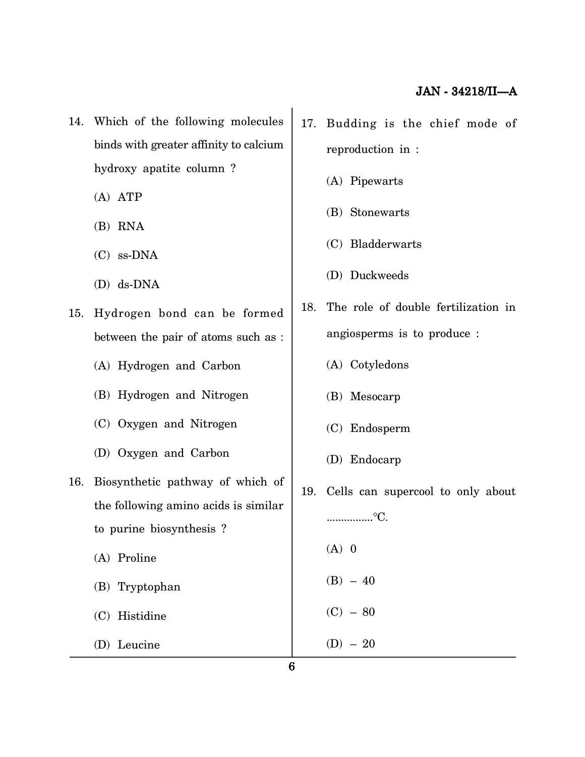- 14. Which of the following molecules binds with greater affinity to calcium hydroxy apatite column ?
	- (A) ATP
	- (B) RNA
	- (C) ss-DNA
	- (D) ds-DNA
- 15. Hydrogen bond can be formed between the pair of atoms such as :
	- (A) Hydrogen and Carbon
	- (B) Hydrogen and Nitrogen
	- (C) Oxygen and Nitrogen
	- (D) Oxygen and Carbon
- 16. Biosynthetic pathway of which of the following amino acids is similar to purine biosynthesis ?
	- (A) Proline
	- (B) Tryptophan
	- (C) Histidine
	- (D) Leucine
- 17. Budding is the chief mode of reproduction in :
	- (A) Pipewarts
	- (B) Stonewarts
	- (C) Bladderwarts
	- (D) Duckweeds
- 18. The role of double fertilization in angiosperms is to produce :
	- (A) Cotyledons
	- (B) Mesocarp
	- (C) Endosperm
	- (D) Endocarp
- 19. Cells can supercool to only about ................°C.  $(A)$  0  $(B) - 40$  $(C) - 80$  $(D) - 20$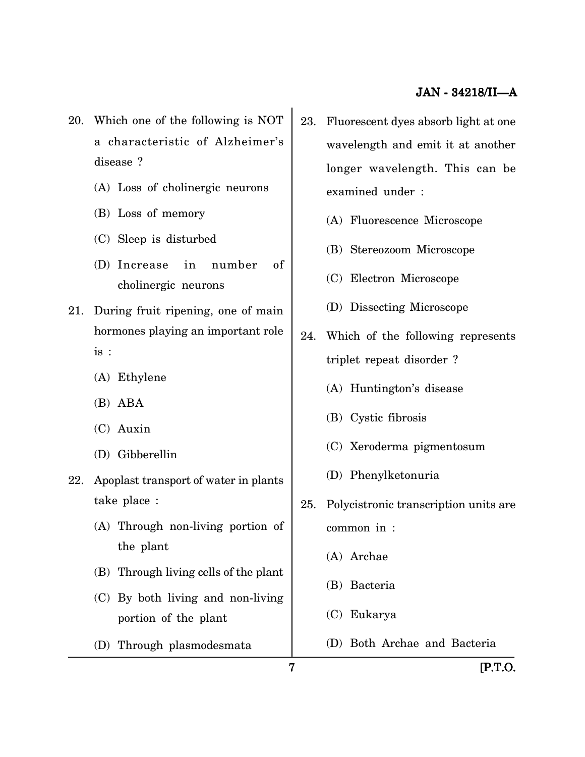- 20. Which one of the following is NOT a characteristic of Alzheimer's disease ?
	- (A) Loss of cholinergic neurons
	- (B) Loss of memory
	- (C) Sleep is disturbed
	- (D) Increase in number of cholinergic neurons
- 21. During fruit ripening, one of main hormones playing an important role is :
	- (A) Ethylene
	- (B) ABA
	- (C) Auxin
	- (D) Gibberellin
- 22. Apoplast transport of water in plants take place :
	- (A) Through non-living portion of the plant
	- (B) Through living cells of the plant
	- (C) By both living and non-living portion of the plant
	- (D) Through plasmodesmata
- 23. Fluorescent dyes absorb light at one wavelength and emit it at another longer wavelength. This can be examined under :
	- (A) Fluorescence Microscope
	- (B) Stereozoom Microscope
	- (C) Electron Microscope
	- (D) Dissecting Microscope
- 24. Which of the following represents triplet repeat disorder ?
	- (A) Huntington's disease
	- (B) Cystic fibrosis
	- (C) Xeroderma pigmentosum
	- (D) Phenylketonuria
- 25. Polycistronic transcription units are common in :
	- (A) Archae
	- (B) Bacteria
	- (C) Eukarya
	- (D) Both Archae and Bacteria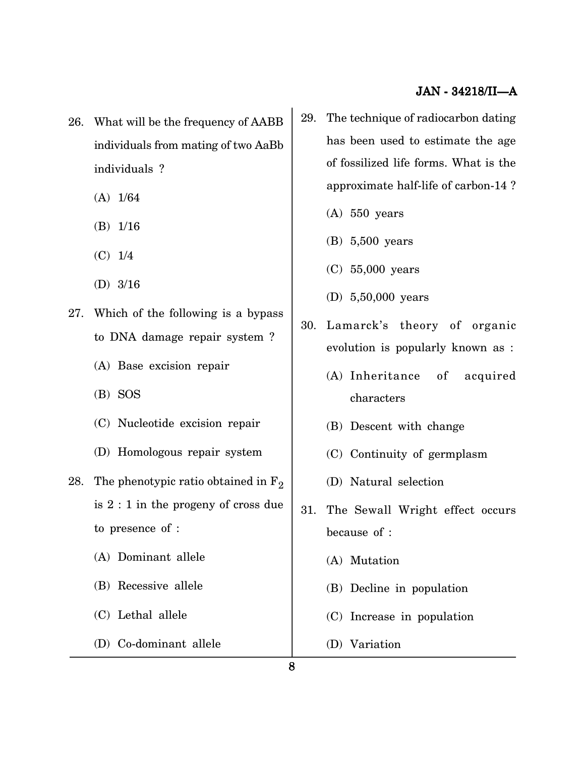- 26. What will be the frequency of AABB individuals from mating of two AaBb individuals ?
	- (A) 1/64
	- (B) 1/16
	- (C) 1/4
	- (D) 3/16
- 27. Which of the following is a bypass to DNA damage repair system ?
	- (A) Base excision repair
	- (B) SOS
	- (C) Nucleotide excision repair
	- (D) Homologous repair system
- 28. The phenotypic ratio obtained in  $F_2$ is 2 : 1 in the progeny of cross due to presence of :
	- (A) Dominant allele
	- (B) Recessive allele
	- (C) Lethal allele
	- (D) Co-dominant allele
- 29. The technique of radiocarbon dating has been used to estimate the age of fossilized life forms. What is the approximate half-life of carbon-14 ?
	- (A) 550 years
	- (B) 5,500 years
	- (C) 55,000 years
	- (D) 5,50,000 years
- 30. Lamarck's theory of organic evolution is popularly known as :
	- (A) Inheritance of acquired characters
	- (B) Descent with change
	- (C) Continuity of germplasm
	- (D) Natural selection
- 31. The Sewall Wright effect occurs because of :
	- (A) Mutation
	- (B) Decline in population
	- (C) Increase in population
	- (D) Variation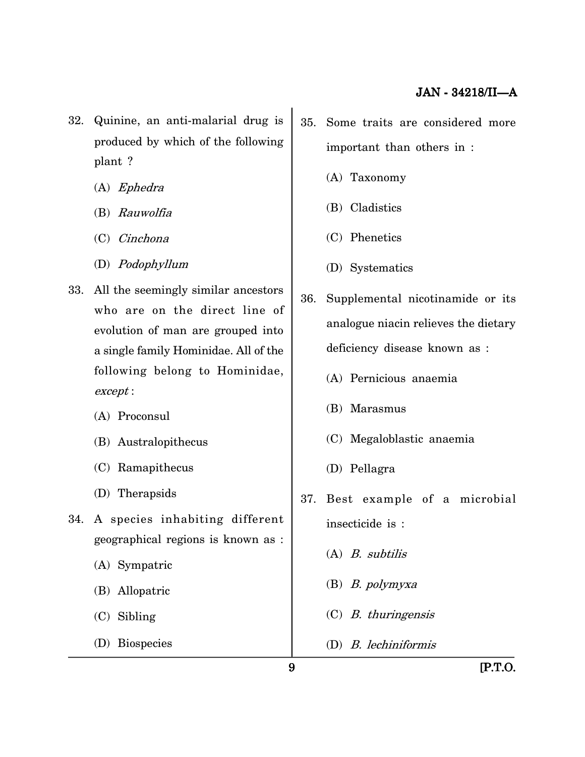- 32. Quinine, an anti-malarial drug is produced by which of the following plant ?
	- (A) Ephedra
	- (B) Rauwolfia
	- (C) Cinchona
	- (D) Podophyllum
- 33. All the seemingly similar ancestors who are on the direct line of evolution of man are grouped into a single family Hominidae. All of the following belong to Hominidae, except :
	- (A) Proconsul
	- (B) Australopithecus
	- (C) Ramapithecus
	- (D) Therapsids
- 34. A species inhabiting different geographical regions is known as :
	- (A) Sympatric
	- (B) Allopatric
	- (C) Sibling
	- (D) Biospecies
- 35. Some traits are considered more important than others in :
	- (A) Taxonomy
	- (B) Cladistics
	- (C) Phenetics
	- (D) Systematics
- 36. Supplemental nicotinamide or its analogue niacin relieves the dietary deficiency disease known as :
	- (A) Pernicious anaemia
	- (B) Marasmus
	- (C) Megaloblastic anaemia
	- (D) Pellagra
- 37. Best example of a microbial insecticide is :
	- (A) B. subtilis
	- (B) B. polymyxa
	- (C) B. thuringensis
	- (D) B. lechiniformis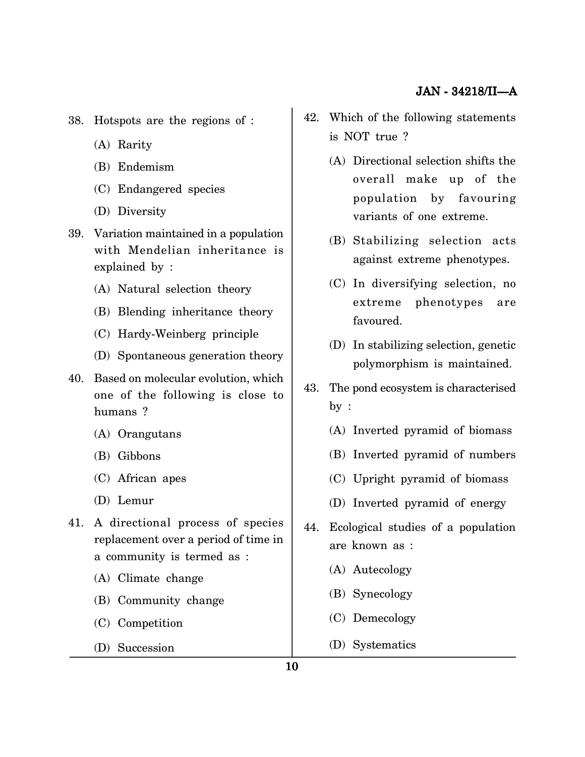- 38. Hotspots are the regions of :
	- (A) Rarity
	- (B) Endemism
	- (C) Endangered species
	- (D) Diversity
- 39. Variation maintained in a population with Mendelian inheritance is explained by :
	- (A) Natural selection theory
	- (B) Blending inheritance theory
	- (C) Hardy-Weinberg principle
	- (D) Spontaneous generation theory
- 40. Based on molecular evolution, which one of the following is close to humans ?
	- (A) Orangutans
	- (B) Gibbons
	- (C) African apes
	- (D) Lemur
- 41. A directional process of species replacement over a period of time in a community is termed as :
	- (A) Climate change
	- (B) Community change
	- (C) Competition
	- (D) Succession
- 42. Which of the following statements is NOT true ?
	- (A) Directional selection shifts the overall make up of the population by favouring variants of one extreme.
	- (B) Stabilizing selection acts against extreme phenotypes.
	- (C) In diversifying selection, no extreme phenotypes are favoured.
	- (D) In stabilizing selection, genetic polymorphism is maintained.
- 43. The pond ecosystem is characterised by :
	- (A) Inverted pyramid of biomass
	- (B) Inverted pyramid of numbers
	- (C) Upright pyramid of biomass
	- (D) Inverted pyramid of energy
- 44. Ecological studies of a population are known as :
	- (A) Autecology
	- (B) Synecology
	- (C) Demecology
	- (D) Systematics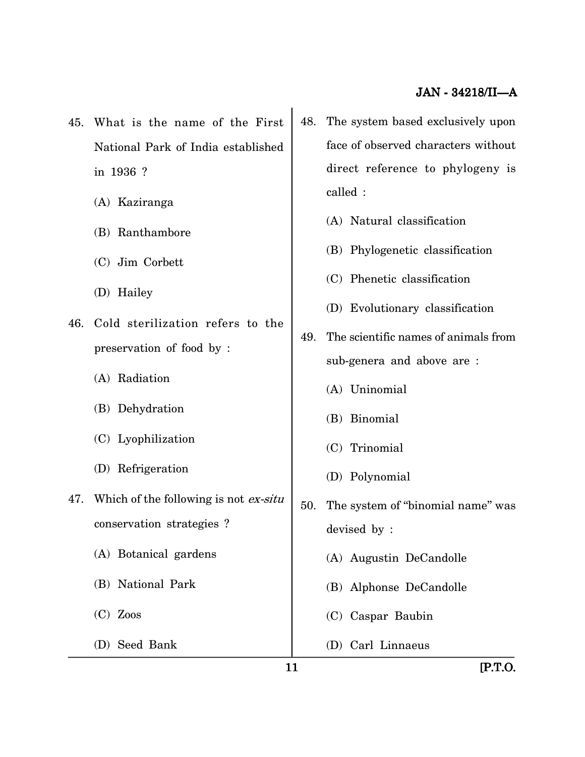- 45. What is the name of the First National Park of India established in 1936 ?
	- (A) Kaziranga
	- (B) Ranthambore
	- (C) Jim Corbett
	- (D) Hailey
- 46. Cold sterilization refers to the preservation of food by :
	- (A) Radiation
	- (B) Dehydration
	- (C) Lyophilization
	- (D) Refrigeration
- 47. Which of the following is not ex-situ conservation strategies ?
	- (A) Botanical gardens
	- (B) National Park
	- (C) Zoos
	- (D) Seed Bank
- 48. The system based exclusively upon face of observed characters without direct reference to phylogeny is called :
	- (A) Natural classification
	- (B) Phylogenetic classification
	- (C) Phenetic classification
	- (D) Evolutionary classification
- 49. The scientific names of animals from sub-genera and above are :
	- (A) Uninomial
	- (B) Binomial
	- (C) Trinomial
	- (D) Polynomial
- 50. The system of ''binomial name'' was devised by :
	- (A) Augustin DeCandolle
	- (B) Alphonse DeCandolle
	- (C) Caspar Baubin
	- (D) Carl Linnaeus